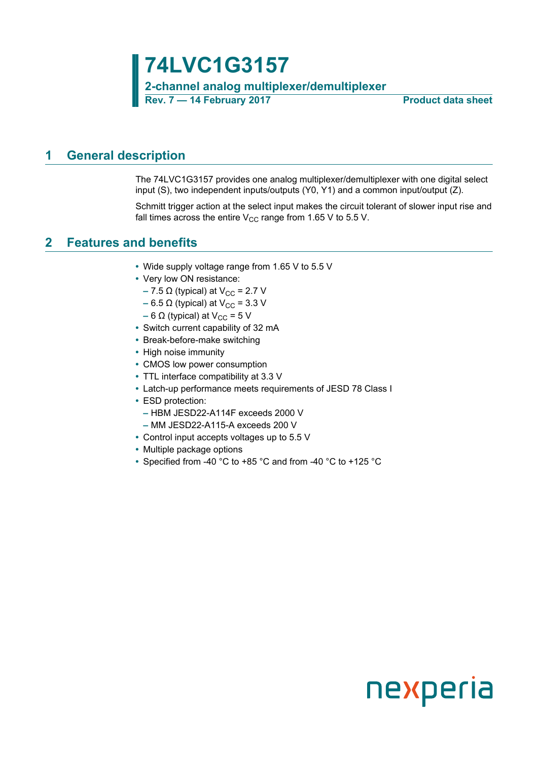#### <span id="page-0-0"></span>**1 General description**

The 74LVC1G3157 provides one analog multiplexer/demultiplexer with one digital select input (S), two independent inputs/outputs (Y0, Y1) and a common input/output (Z).

Schmitt trigger action at the select input makes the circuit tolerant of slower input rise and fall times across the entire  $V_{CC}$  range from 1.65 V to 5.5 V.

#### <span id="page-0-1"></span>**2 Features and benefits**

- **•** Wide supply voltage range from 1.65 V to 5.5 V
- **•** Very low ON resistance:
	- $-7.5$  Ω (typical) at V<sub>CC</sub> = 2.7 V
	- $-6.5 \Omega$  (typical) at V<sub>CC</sub> = 3.3 V
	- $-6 \Omega$  (typical) at V<sub>CC</sub> = 5 V
- **•** Switch current capability of 32 mA
- **•** Break-before-make switching
- **•** High noise immunity
- **•** CMOS low power consumption
- **•** TTL interface compatibility at 3.3 V
- **•** Latch-up performance meets requirements of JESD 78 Class I
- **•** ESD protection:
	- **–** HBM JESD22-A114F exceeds 2000 V
	- **–** MM JESD22-A115-A exceeds 200 V
- **•** Control input accepts voltages up to 5.5 V
- **•** Multiple package options
- **•** Specified from -40 °C to +85 °C and from -40 °C to +125 °C

# nexperia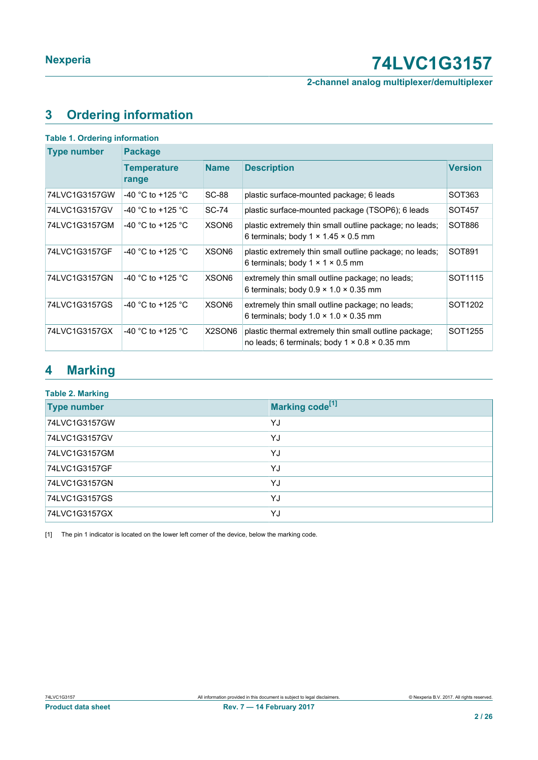**2-channel analog multiplexer/demultiplexer**

### <span id="page-1-1"></span><span id="page-1-0"></span>**3 Ordering information**

| <b>Table 1. Ordering information</b> |                                            |                   |                                                                                                                    |                     |  |  |  |  |  |
|--------------------------------------|--------------------------------------------|-------------------|--------------------------------------------------------------------------------------------------------------------|---------------------|--|--|--|--|--|
| <b>Type number</b>                   | <b>Package</b>                             |                   |                                                                                                                    |                     |  |  |  |  |  |
|                                      | <b>Temperature</b><br><b>Name</b><br>range |                   | <b>Description</b>                                                                                                 | <b>Version</b>      |  |  |  |  |  |
| 74LVC1G3157GW                        | -40 °C to +125 °C                          | <b>SC-88</b>      | plastic surface-mounted package; 6 leads                                                                           | SOT <sub>363</sub>  |  |  |  |  |  |
| 74LVC1G3157GV                        | -40 °C to +125 °C                          | <b>SC-74</b>      | plastic surface-mounted package (TSOP6); 6 leads                                                                   | SOT457              |  |  |  |  |  |
| 74LVC1G3157GM                        | -40 °C to +125 °C                          | XSON6             | plastic extremely thin small outline package; no leads;<br>6 terminals; body $1 \times 1.45 \times 0.5$ mm         | SOT886              |  |  |  |  |  |
| 74LVC1G3157GF                        | -40 °C to +125 °C                          | XSON6             | plastic extremely thin small outline package; no leads;<br>6 terminals; body $1 \times 1 \times 0.5$ mm            | SOT891              |  |  |  |  |  |
| 74LVC1G3157GN                        | -40 °C to +125 °C                          | XSON6             | extremely thin small outline package; no leads;<br>6 terminals; body $0.9 \times 1.0 \times 0.35$ mm               | SOT <sub>1115</sub> |  |  |  |  |  |
| 74LVC1G3157GS                        | -40 °C to +125 °C                          | XSON <sub>6</sub> | extremely thin small outline package; no leads;<br>6 terminals; body $1.0 \times 1.0 \times 0.35$ mm               | SOT <sub>1202</sub> |  |  |  |  |  |
| 74LVC1G3157GX                        | -40 °C to +125 °C                          | X2SON6            | plastic thermal extremely thin small outline package;<br>no leads; 6 terminals; body $1 \times 0.8 \times 0.35$ mm | SOT <sub>1255</sub> |  |  |  |  |  |

#### <span id="page-1-2"></span>**4 Marking**

| <b>Table 2. Marking</b> |                             |
|-------------------------|-----------------------------|
| <b>Type number</b>      | Marking code <sup>[1]</sup> |
| 74LVC1G3157GW           | YJ                          |
| 74LVC1G3157GV           | YJ                          |
| 74LVC1G3157GM           | YJ                          |
| 74LVC1G3157GF           | YJ                          |
| 74LVC1G3157GN           | YJ                          |
| 74LVC1G3157GS           | YJ                          |
| 74LVC1G3157GX           | YJ                          |

[1] The pin 1 indicator is located on the lower left corner of the device, below the marking code.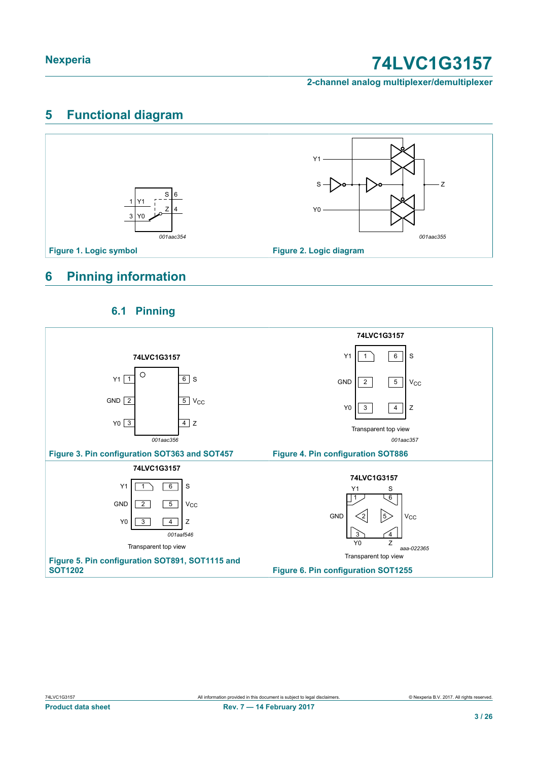**2-channel analog multiplexer/demultiplexer**

#### <span id="page-2-0"></span>**5 Functional diagram**



### <span id="page-2-1"></span>**6 Pinning information**



#### <span id="page-2-2"></span>**6.1 Pinning**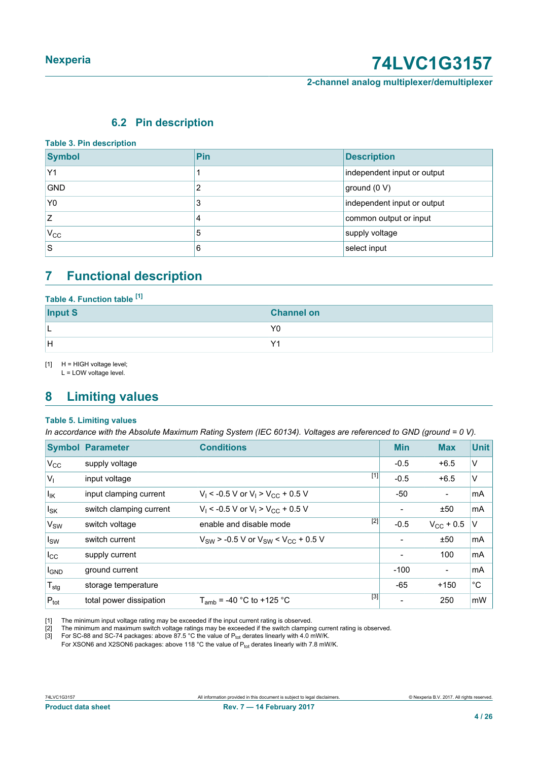**Table 3. Pin description**

### **Nexperia 74LVC1G3157**

**2-channel analog multiplexer/demultiplexer**

#### <span id="page-3-3"></span><span id="page-3-2"></span><span id="page-3-1"></span><span id="page-3-0"></span>**6.2 Pin description**

| Table 3. PIN description |     |                             |
|--------------------------|-----|-----------------------------|
| <b>Symbol</b>            | Pin | <b>Description</b>          |
| Y1                       |     | independent input or output |
| <b>GND</b>               | າ   | ground (0 V)                |
| Y0                       | 3   | independent input or output |
| ΙZ                       | 4   | common output or input      |
| $V_{\rm CC}$             | 5   | supply voltage              |
| ls                       | 6   | select input                |

### <span id="page-3-4"></span>**7 Functional description**

| Table 4. Function table [1] |                   |  |  |  |
|-----------------------------|-------------------|--|--|--|
| <b>Input S</b>              | <b>Channel on</b> |  |  |  |
|                             | Y0                |  |  |  |
| ΙH                          | Υ1                |  |  |  |

[1] H = HIGH voltage level;

L = LOW voltage level.

#### <span id="page-3-5"></span>**8 Limiting values**

#### **Table 5. Limiting values**

*In accordance with the Absolute Maximum Rating System (IEC 60134). Voltages are referenced to GND (ground = 0 V).*

| <b>Symbol</b>    | Parameter               | <b>Conditions</b>                                | <b>Min</b>               | <b>Max</b>     | <b>Unit</b>  |
|------------------|-------------------------|--------------------------------------------------|--------------------------|----------------|--------------|
| $V_{CC}$         | supply voltage          |                                                  | $-0.5$                   | $+6.5$         | V            |
| V <sub>1</sub>   | input voltage           | $[1]$                                            | $-0.5$                   | $+6.5$         | $\vee$       |
| $I_{IK}$         | input clamping current  | $V_1$ < -0.5 V or $V_1$ > $V_{CC}$ + 0.5 V       | $-50$                    |                | mA           |
| $I_{SK}$         | switch clamping current | $V_1$ < -0.5 V or $V_1$ > $V_{CC}$ + 0.5 V       | $\overline{\phantom{a}}$ | ±50            | mA           |
| $V_{SW}$         | switch voltage          | $[2]$<br>enable and disable mode                 | $-0.5$                   | $V_{CC}$ + 0.5 | V            |
| $I_{SW}$         | switch current          | $V_{SW}$ > -0.5 V or $V_{SW}$ < $V_{CC}$ + 0.5 V |                          | ±50            | mA           |
| $ I_{CC} $       | supply current          |                                                  | $\overline{\phantom{a}}$ | 100            | mA           |
| I <sub>GND</sub> | ground current          |                                                  | $-100$                   | Ξ.             | mA           |
| $T_{\text{stg}}$ | storage temperature     |                                                  | $-65$                    | $+150$         | $^{\circ}$ C |
| $P_{\text{tot}}$ | total power dissipation | $[3]$<br>$T_{amb}$ = -40 °C to +125 °C           | ۰                        | 250            | mW           |

[1] The minimum input voltage rating may be exceeded if the input current rating is observed.<br>
[2] The minimum and maximum switch voltage ratings may be exceeded if the switch clampin<br>
[3] For SC-88 and SC-74 packages: ab

The minimum and maximum switch voltage ratings may be exceeded if the switch clamping current rating is observed.

For SC-88 and SC-74 packages: above 87.5 °C the value of P<sub>tot</sub> derates linearly with 4.0 mW/K.

For XSON6 and X2SON6 packages: above 118 °C the value of Ptot derates linearly with 7.8 mW/K.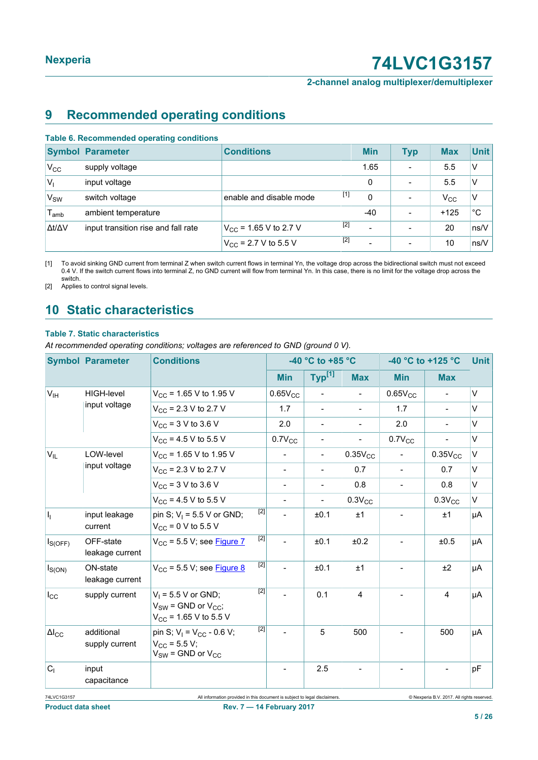**2-channel analog multiplexer/demultiplexer**

#### <span id="page-4-3"></span><span id="page-4-0"></span>**9 Recommended operating conditions**

#### <span id="page-4-1"></span>**Table 6. Recommended operating conditions**

|                 | <b>Symbol Parameter</b>             | <b>Conditions</b>                         | <b>Min</b>               | <b>Typ</b> | <b>Max</b>   | <b>Unit</b> |
|-----------------|-------------------------------------|-------------------------------------------|--------------------------|------------|--------------|-------------|
| $V_{\rm CC}$    | supply voltage                      |                                           | 1.65                     |            | 5.5          | V           |
| $V_{1}$         | input voltage                       |                                           | 0                        |            | 5.5          | V           |
| V <sub>SW</sub> | switch voltage                      | $[1]$<br>enable and disable mode          | $\mathbf 0$              |            | $V_{\rm CC}$ | V           |
| $T_{amb}$       | ambient temperature                 |                                           | -40                      |            | $+125$       | $^{\circ}C$ |
| <b>Δt/ΔV</b>    | input transition rise and fall rate | $[2]$<br>$V_{\rm CC}$ = 1.65 V to 2.7 V   | $\overline{\phantom{0}}$ |            | 20           | ns/V        |
|                 |                                     | $[2]$<br>$V_{\text{CC}}$ = 2.7 V to 5.5 V | $\overline{\phantom{0}}$ |            | 10           | ns/V        |

[1] To avoid sinking GND current from terminal Z when switch current flows in terminal Yn, the voltage drop across the bidirectional switch must not exceed 0.4 V. If the switch current flows into terminal Z, no GND current will flow from terminal Yn. In this case, there is no limit for the voltage drop across the switch.

[2] Applies to control signal levels.

### <span id="page-4-4"></span>**10 Static characteristics**

#### <span id="page-4-2"></span>**Table 7. Static characteristics**

*At recommended operating conditions; voltages are referenced to GND (ground 0 V).*

|                     | <b>Symbol Parameter</b><br><b>Conditions</b> |                                                                                              |                | -40 $^{\circ}$ C to +85 $^{\circ}$ C |              | -40 °C to +125 °C | <b>Unit</b>              |        |
|---------------------|----------------------------------------------|----------------------------------------------------------------------------------------------|----------------|--------------------------------------|--------------|-------------------|--------------------------|--------|
|                     |                                              |                                                                                              | <b>Min</b>     | Typ <sup>[1]</sup>                   | <b>Max</b>   | <b>Min</b>        | <b>Max</b>               |        |
| V <sub>IH</sub>     | <b>HIGH-level</b>                            | $V_{CC}$ = 1.65 V to 1.95 V                                                                  | $0.65V_{CC}$   | $\overline{\phantom{a}}$             |              | $0.65V_{CC}$      | $\overline{\phantom{0}}$ | $\vee$ |
|                     | input voltage                                | $V_{CC}$ = 2.3 V to 2.7 V                                                                    | 1.7            | $\blacksquare$                       |              | 1.7               | $\blacksquare$           | V      |
|                     |                                              | $V_{CC}$ = 3 V to 3.6 V                                                                      | 2.0            | $\blacksquare$                       |              | 2.0               | $\overline{a}$           | $\vee$ |
|                     |                                              | $V_{CC}$ = 4.5 V to 5.5 V                                                                    | $0.7V_{CC}$    | $\overline{\phantom{m}}$             |              | $0.7V_{CC}$       |                          | V      |
| $V_{IL}$            | LOW-level                                    | $V_{\text{CC}}$ = 1.65 V to 1.95 V                                                           | $\blacksquare$ | $\blacksquare$                       | $0.35V_{CC}$ | $\overline{a}$    | $0.35V_{CC}$             | V      |
|                     | input voltage                                | $V_{CC}$ = 2.3 V to 2.7 V                                                                    |                | $\overline{\phantom{a}}$             | 0.7          | $\blacksquare$    | 0.7                      | $\vee$ |
|                     |                                              | $V_{CC}$ = 3 V to 3.6 V                                                                      |                | $\overline{\phantom{a}}$             | 0.8          | $\blacksquare$    | 0.8                      | V      |
|                     |                                              | $V_{CC}$ = 4.5 V to 5.5 V                                                                    |                |                                      | $0.3V_{CC}$  |                   | $0.3V_{CC}$              | V      |
| h,                  | input leakage<br>current                     | $[2]$<br>pin S; $V_1 = 5.5 V$ or GND;<br>$V_{CC}$ = 0 V to 5.5 V                             |                | ±0.1                                 | ±1           |                   | ±1                       | μA     |
| $I_{S(OFF)}$        | OFF-state<br>leakage current                 | $[2]$<br>$V_{CC}$ = 5.5 V; see Figure 7                                                      |                | ±0.1                                 | ±0.2         |                   | ±0.5                     | μA     |
| $I_{S(ON)}$         | ON-state<br>leakage current                  | $[2]$<br>$V_{CC}$ = 5.5 V; see Figure 8                                                      |                | ±0.1                                 | ±1           |                   | ±2                       | μA     |
| $I_{\rm CC}$        | supply current                               | $[2]$<br>$V_1 = 5.5 V$ or GND;<br>$V_{SW}$ = GND or $V_{CC}$ ;<br>$V_{CC}$ = 1.65 V to 5.5 V |                | 0.1                                  | 4            |                   | 4                        | μA     |
| $\Delta I_{\rm CC}$ | additional<br>supply current                 | $[2]$<br>pin S; $V_1 = V_{CC} - 0.6 V$ ;<br>$V_{CC}$ = 5.5 V;<br>$V_{SW}$ = GND or $V_{CC}$  |                | 5                                    | 500          |                   | 500                      | μA     |
| C <sub>1</sub>      | input<br>capacitance                         |                                                                                              |                | 2.5                                  |              |                   |                          | pF     |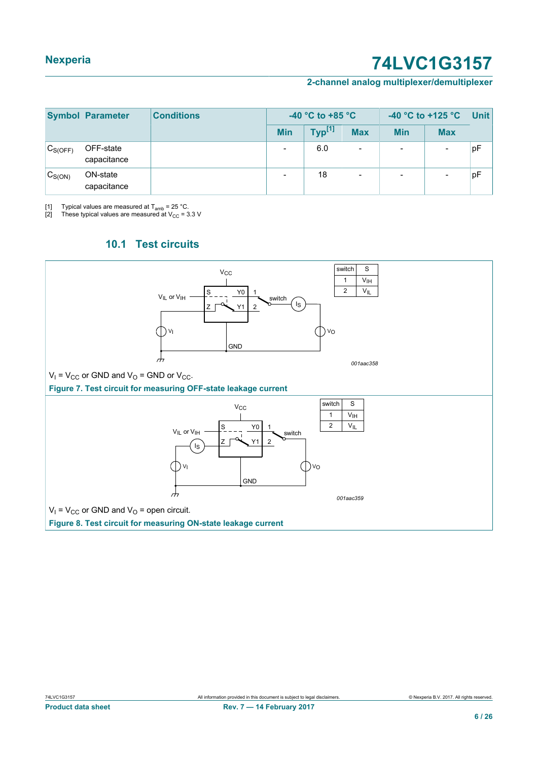#### **2-channel analog multiplexer/demultiplexer**

<span id="page-5-1"></span><span id="page-5-0"></span>

|              | <b>Symbol Parameter</b><br><b>Conditions</b> |  |            | -40 $^{\circ}$ C to +85 $^{\circ}$ C |                          | -40 $^{\circ}$ C to +125 $^{\circ}$ C | <b>Unit</b> |    |
|--------------|----------------------------------------------|--|------------|--------------------------------------|--------------------------|---------------------------------------|-------------|----|
|              |                                              |  | <b>Min</b> | Typ <sup>[1]</sup>                   | <b>Max</b>               | <b>Min</b>                            | <b>Max</b>  |    |
| $C_{S(OFF)}$ | ∣OFF-state<br>capacitance                    |  |            | 6.0                                  | $\overline{\phantom{a}}$ | $\overline{\phantom{a}}$              | -           | pF |
| $C_{S(ON)}$  | ON-state<br>capacitance                      |  |            | 18                                   | $\overline{\phantom{a}}$ | $\overline{\phantom{0}}$              |             | pF |

[1] Typical values are measured at  $T_{amb}$  = 25 °C.

[2] These typical values are measured at  $V_{\text{CC}}$  = 3.3 V

#### <span id="page-5-4"></span>**10.1 Test circuits**

<span id="page-5-3"></span><span id="page-5-2"></span>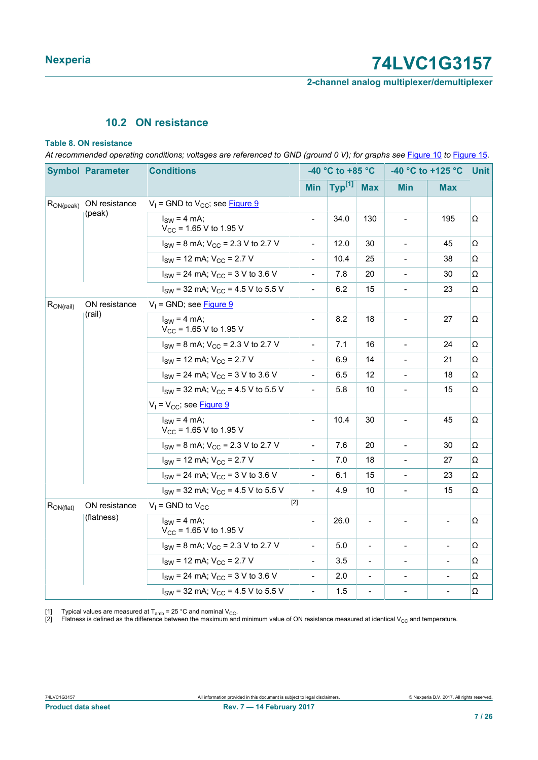**2-channel analog multiplexer/demultiplexer**

#### <span id="page-6-2"></span><span id="page-6-1"></span><span id="page-6-0"></span>**10.2 ON resistance**

#### **Table 8. ON resistance**

*At recommended operating conditions; voltages are referenced to GND (ground 0 V); for graphs see* [Figure 10](#page-7-0) *to* [Figure 15](#page-8-0)*.*

| <b>Symbol Parameter</b> |               | <b>Conditions</b>                               |                          | -40 $^{\circ}$ C to +85 $^{\circ}$ C |                          | -40 °C to +125 °C            | <b>Unit</b>              |   |
|-------------------------|---------------|-------------------------------------------------|--------------------------|--------------------------------------|--------------------------|------------------------------|--------------------------|---|
|                         |               |                                                 | <b>Min</b>               | Typ <sup>[1]</sup>                   | <b>Max</b>               | <b>Min</b>                   | <b>Max</b>               |   |
| $R_{ON(peak)}$          | ON resistance | $V_1$ = GND to $V_{CC}$ ; see Figure 9          |                          |                                      |                          |                              |                          |   |
|                         | (peak)        | $I_{SW} = 4$ mA;<br>$V_{CC}$ = 1.65 V to 1.95 V |                          | 34.0                                 | 130                      |                              | 195                      | Ω |
|                         |               | $I_{SW}$ = 8 mA; $V_{CC}$ = 2.3 V to 2.7 V      | $\overline{\phantom{a}}$ | 12.0                                 | 30                       | $\blacksquare$               | 45                       | Ω |
|                         |               | $I_{SW}$ = 12 mA; $V_{CC}$ = 2.7 V              | $\overline{\phantom{a}}$ | 10.4                                 | 25                       | $\overline{\phantom{a}}$     | 38                       | Ω |
|                         |               | $I_{SW}$ = 24 mA; $V_{CC}$ = 3 V to 3.6 V       |                          | 7.8                                  | 20                       | $\qquad \qquad -$            | 30                       | Ω |
|                         |               | $I_{SW}$ = 32 mA; $V_{CC}$ = 4.5 V to 5.5 V     |                          | 6.2                                  | 15                       |                              | 23                       | Ω |
| $R_{ON(rail)}$          | ON resistance | $V_1$ = GND; see Figure 9                       |                          |                                      |                          |                              |                          |   |
|                         | (rail)        | $I_{SW} = 4$ mA;<br>$V_{CC}$ = 1.65 V to 1.95 V |                          | 8.2                                  | 18                       |                              | 27                       | Ω |
|                         |               | $I_{SW}$ = 8 mA; $V_{CC}$ = 2.3 V to 2.7 V      |                          | 7.1                                  | 16                       | $\blacksquare$               | 24                       | Ω |
|                         |               | $I_{SW}$ = 12 mA; $V_{CC}$ = 2.7 V              |                          | 6.9                                  | 14                       |                              | 21                       | Ω |
|                         |               | $I_{SW}$ = 24 mA; $V_{CC}$ = 3 V to 3.6 V       | $\overline{\phantom{a}}$ | 6.5                                  | 12                       | $\blacksquare$               | 18                       | Ω |
|                         |               | $I_{SW}$ = 32 mA; $V_{CC}$ = 4.5 V to 5.5 V     |                          | 5.8                                  | 10                       |                              | 15                       | Ω |
|                         |               | $V_1$ = $V_{CC}$ ; see Figure 9                 |                          |                                      |                          |                              |                          |   |
|                         |               | $ISW = 4 mA;$<br>$V_{CC}$ = 1.65 V to 1.95 V    | $\overline{\phantom{a}}$ | 10.4                                 | 30                       | $\qquad \qquad \blacksquare$ | 45                       | Ω |
|                         |               | $I_{SW}$ = 8 mA; $V_{CC}$ = 2.3 V to 2.7 V      | $\overline{\phantom{a}}$ | 7.6                                  | 20                       | $\overline{\phantom{a}}$     | 30                       | Ω |
|                         |               | $I_{SW}$ = 12 mA; $V_{CC}$ = 2.7 V              |                          | 7.0                                  | 18                       |                              | 27                       | Ω |
|                         |               | $I_{SW}$ = 24 mA; $V_{CC}$ = 3 V to 3.6 V       | $\sim$                   | 6.1                                  | 15                       | $\overline{\phantom{a}}$     | 23                       | Ω |
|                         |               | $I_{SW}$ = 32 mA; $V_{CC}$ = 4.5 V to 5.5 V     | $\overline{\phantom{a}}$ | 4.9                                  | 10                       | $\overline{\phantom{a}}$     | 15                       | Ω |
| $R_{ON(flat)}$          | ON resistance | [2]<br>$V_1$ = GND to $V_{CC}$                  |                          |                                      |                          |                              |                          |   |
|                         | (flatness)    | $ISW = 4 mA;$<br>$V_{CC}$ = 1.65 V to 1.95 V    | $\overline{\phantom{a}}$ | 26.0                                 | $\overline{\phantom{a}}$ |                              | $\overline{\phantom{a}}$ | Ω |
|                         |               | $I_{SW}$ = 8 mA; $V_{CC}$ = 2.3 V to 2.7 V      | $\blacksquare$           | 5.0                                  | $\overline{\phantom{a}}$ | $\overline{\phantom{0}}$     | $\overline{a}$           | Ω |
|                         |               | $I_{SW}$ = 12 mA; $V_{CC}$ = 2.7 V              | $\overline{\phantom{a}}$ | 3.5                                  | $\overline{\phantom{a}}$ | $\qquad \qquad \blacksquare$ | $\blacksquare$           | Ω |
|                         |               | $I_{SW}$ = 24 mA; $V_{CC}$ = 3 V to 3.6 V       | $\overline{\phantom{a}}$ | 2.0                                  | $\overline{\phantom{a}}$ |                              | $\overline{\phantom{a}}$ | Ω |
|                         |               | $I_{SW}$ = 32 mA; $V_{CC}$ = 4.5 V to 5.5 V     | $\overline{\phantom{a}}$ | 1.5                                  | $\overline{\phantom{a}}$ | $\overline{\phantom{a}}$     | $\blacksquare$           | Ω |

[1] Typical values are measured at  $T_{amb}$  = 25 °C and nominal V<sub>CC</sub>.

[2]  $\;$  Flatness is defined as the difference between the maximum and minimum value of ON resistance measured at identical V<sub>CC</sub> and temperature.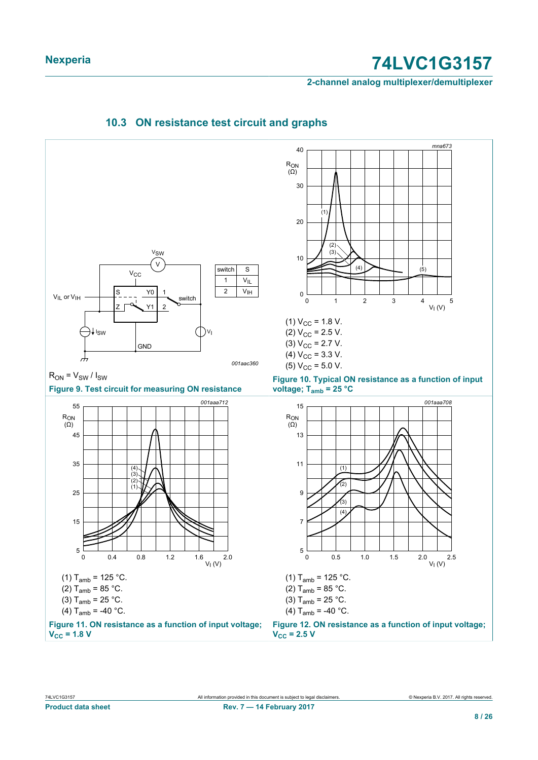<span id="page-7-0"></span>**2-channel analog multiplexer/demultiplexer**

<span id="page-7-1"></span>

#### <span id="page-7-2"></span>**10.3 ON resistance test circuit and graphs**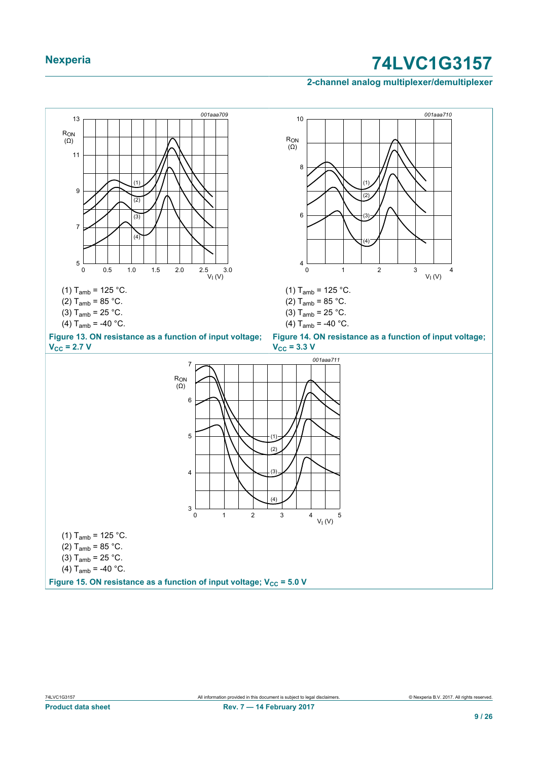<span id="page-8-0"></span>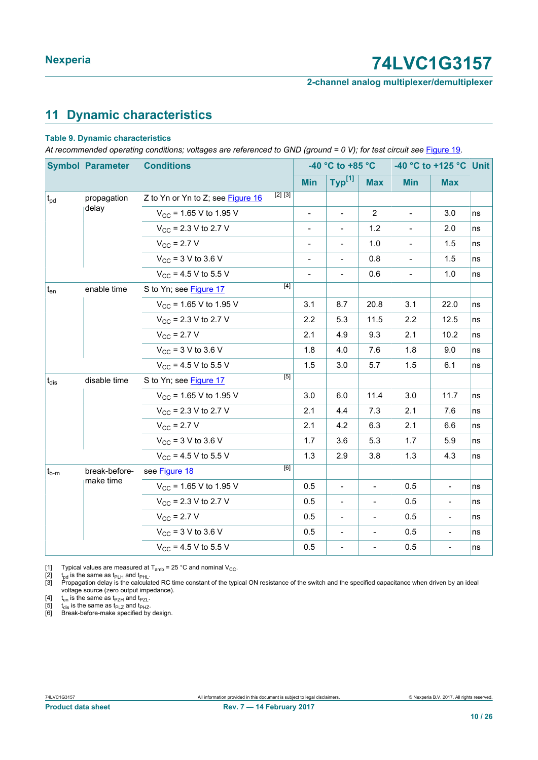**2-channel analog multiplexer/demultiplexer**

### <span id="page-9-6"></span><span id="page-9-1"></span><span id="page-9-0"></span>**11 Dynamic characteristics**

#### <span id="page-9-3"></span><span id="page-9-2"></span>**Table 9. Dynamic characteristics**

<span id="page-9-4"></span>At recommended operating conditions; voltages are referenced to GND (ground = 0 V); for test circuit see **[Figure 19](#page-11-0).** 

<span id="page-9-5"></span>

|           | <b>Symbol Parameter</b> | <b>Conditions</b>                 |         | -40 $^{\circ}$ C to +85 $^{\circ}$ C |                          |                          | -40 °C to +125 °C Unit   |                              |    |
|-----------|-------------------------|-----------------------------------|---------|--------------------------------------|--------------------------|--------------------------|--------------------------|------------------------------|----|
|           |                         |                                   |         | <b>Min</b>                           | Typ <sup>[1]</sup>       | <b>Max</b>               | <b>Min</b>               | <b>Max</b>                   |    |
| $t_{pd}$  | propagation             | Z to Yn or Yn to Z; see Figure 16 | [2] [3] |                                      |                          |                          |                          |                              |    |
|           | delay                   | $V_{CC}$ = 1.65 V to 1.95 V       |         | $\frac{1}{2}$                        | $\overline{\phantom{0}}$ | $\overline{2}$           | $\frac{1}{2}$            | 3.0                          | ns |
|           |                         | $V_{CC}$ = 2.3 V to 2.7 V         |         | $\overline{a}$                       | $\overline{a}$           | 1.2                      | $\blacksquare$           | 2.0                          | ns |
|           |                         | $V_{\text{CC}}$ = 2.7 V           |         |                                      | $\overline{\phantom{0}}$ | 1.0                      | $\overline{\phantom{a}}$ | 1.5                          | ns |
|           |                         | $V_{CC}$ = 3 V to 3.6 V           |         |                                      |                          | 0.8                      | $\overline{a}$           | 1.5                          | ns |
|           |                         | $V_{CC}$ = 4.5 V to 5.5 V         |         |                                      | $\overline{\phantom{0}}$ | 0.6                      | $\overline{a}$           | 1.0                          | ns |
| $t_{en}$  | enable time             | S to Yn; see Figure 17            | $[4]$   |                                      |                          |                          |                          |                              |    |
|           |                         | $V_{CC}$ = 1.65 V to 1.95 V       |         | 3.1                                  | 8.7                      | 20.8                     | 3.1                      | 22.0                         | ns |
|           |                         | $V_{CC}$ = 2.3 V to 2.7 V         |         | 2.2                                  | 5.3                      | 11.5                     | 2.2                      | 12.5                         | ns |
|           |                         | $V_{\rm CC}$ = 2.7 V              |         | 2.1                                  | 4.9                      | 9.3                      | 2.1                      | 10.2                         | ns |
|           |                         | $V_{CC}$ = 3 V to 3.6 V           |         | 1.8                                  | 4.0                      | 7.6                      | 1.8                      | 9.0                          | ns |
|           |                         | $V_{CC}$ = 4.5 V to 5.5 V         |         | 1.5                                  | 3.0                      | 5.7                      | 1.5                      | 6.1                          | ns |
| $t_{dis}$ | disable time            | S to Yn; see Figure 17            | $[5]$   |                                      |                          |                          |                          |                              |    |
|           |                         | $V_{CC}$ = 1.65 V to 1.95 V       |         | 3.0                                  | 6.0                      | 11.4                     | 3.0                      | 11.7                         | ns |
|           |                         | $V_{CC}$ = 2.3 V to 2.7 V         |         | 2.1                                  | 4.4                      | 7.3                      | 2.1                      | 7.6                          | ns |
|           |                         | $V_{\rm CC}$ = 2.7 V              |         | 2.1                                  | 4.2                      | 6.3                      | 2.1                      | 6.6                          | ns |
|           |                         | $V_{CC}$ = 3 V to 3.6 V           |         | 1.7                                  | 3.6                      | 5.3                      | 1.7                      | 5.9                          | ns |
|           |                         | $V_{CC}$ = 4.5 V to 5.5 V         |         | 1.3                                  | 2.9                      | 3.8                      | 1.3                      | 4.3                          | ns |
| $t_{b-m}$ | break-before-           | see Figure 18                     | [6]     |                                      |                          |                          |                          |                              |    |
|           | make time               | $V_{CC}$ = 1.65 V to 1.95 V       |         | 0.5                                  | $\frac{1}{2}$            | $\blacksquare$           | 0.5                      | $\frac{1}{2}$                | ns |
|           |                         | $V_{CC}$ = 2.3 V to 2.7 V         |         | 0.5                                  | $\blacksquare$           | $\overline{\phantom{a}}$ | 0.5                      | $\Box$                       | ns |
|           |                         | $V_{\rm CC}$ = 2.7 V              |         | 0.5                                  | $\blacksquare$           | $\blacksquare$           | 0.5                      | $\Box$                       | ns |
|           |                         | $V_{CC}$ = 3 V to 3.6 V           |         | 0.5                                  | $\overline{\phantom{a}}$ | $\blacksquare$           | 0.5                      | $\blacksquare$               | ns |
|           |                         | $V_{CC}$ = 4.5 V to 5.5 V         |         | 0.5                                  | $\overline{a}$           | $\overline{\phantom{0}}$ | 0.5                      | $\qquad \qquad \blacksquare$ | ns |

[1] Typical values are measured at  $T_{amb} = 25 \degree C$  and nominal  $V_{CC}$ .<br>[2]  $t_{pd}$  is the same as  $t_{PLH}$  and  $t_{PHL}$ .<br>[3] Propagation delay is the calculated RC time constant of the typi

[2] t<sub>pd</sub> is the same as t<sub>PLH</sub> and t<sub>PHL</sub>.<br>[3] Propagation delay is the calculated RC time constant of the typical ON resistance of the switch and the specified capacitance when driven by an ideal voltage source (zero output impedance).

[4]  $t_{en}$  is the same as t<sub>PZH</sub> and t<sub>PZL</sub>.<br>[5]  $t_{dis}$  is the same as t<sub>PLZ</sub> and t<sub>PHZ</sub>.

[5] t<sub>dis</sub> is the same as t<sub>PLZ</sub> and t<sub>PHZ</sub>.<br>[6] Break-before-make specified by design.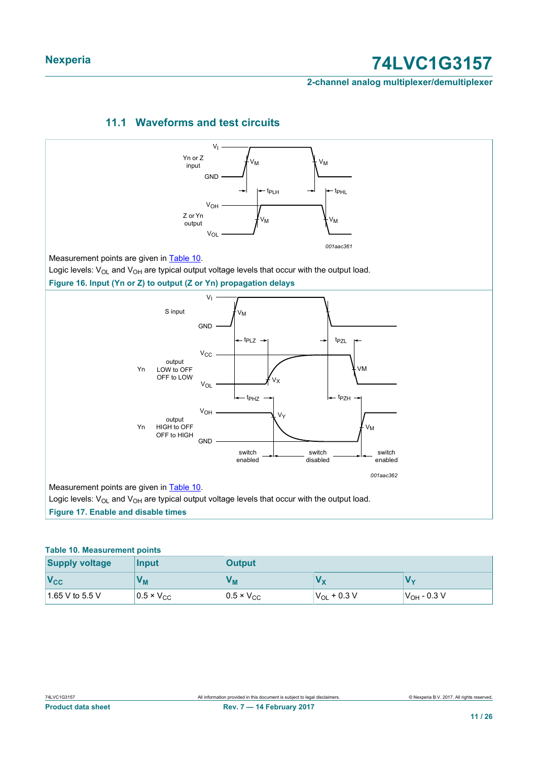#### **2-channel analog multiplexer/demultiplexer**

#### <span id="page-10-3"></span>**11.1 Waveforms and test circuits**

<span id="page-10-1"></span><span id="page-10-0"></span>

#### <span id="page-10-2"></span>**Table 10. Measurement points**

| <b>Supply voltage</b> | Input               | <b>Output</b>       |                  |                  |  |  |  |
|-----------------------|---------------------|---------------------|------------------|------------------|--|--|--|
| $V_{\rm CC}$          | vм                  | Vм                  | Vχ               |                  |  |  |  |
| 1.65 V to 5.5 V       | $0.5 \times V_{CC}$ | $0.5 \times V_{CC}$ | $V_{OL}$ + 0.3 V | $V_{OH}$ - 0.3 V |  |  |  |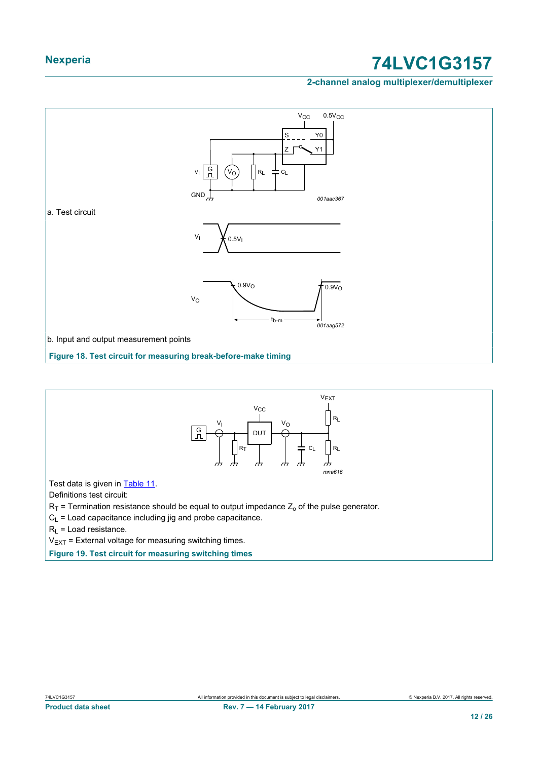#### **2-channel analog multiplexer/demultiplexer**



<span id="page-11-1"></span><span id="page-11-0"></span>

**Figure 19. Test circuit for measuring switching times**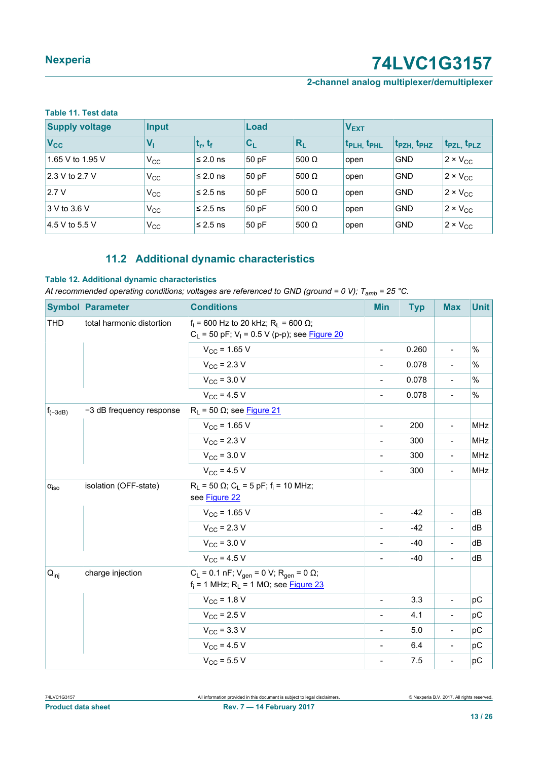#### **2-channel analog multiplexer/demultiplexer**

<span id="page-12-0"></span>

| Table 11. Test data   |                           |               |         |              |                                    |                                    |                                    |  |
|-----------------------|---------------------------|---------------|---------|--------------|------------------------------------|------------------------------------|------------------------------------|--|
| <b>Supply voltage</b> | <b>Input</b>              |               | Load    |              | V <sub>EXT</sub>                   |                                    |                                    |  |
| $V_{\rm CC}$          | $\mathsf{V}_{\mathsf{I}}$ | $t_r$ , $t_f$ | $C_{L}$ | $R_L$        | t <sub>PLH,</sub> t <sub>PHL</sub> | t <sub>PZH,</sub> t <sub>PHZ</sub> | t <sub>PZL,</sub> t <sub>PLZ</sub> |  |
| 1.65 V to 1.95 V      | $V_{\rm CC}$              | $\leq$ 2.0 ns | 50 pF   | 500 $\Omega$ | open                               | <b>GND</b>                         | $2 \times V_{CC}$                  |  |
| 2.3 V to 2.7 V        | $V_{CC}$                  | $\leq$ 2.0 ns | 50 pF   | 500 $\Omega$ | open                               | <b>GND</b>                         | $2 \times V_{CC}$                  |  |
| 2.7 V                 | $V_{CC}$                  | $\leq$ 2.5 ns | 50 pF   | 500 $\Omega$ | open                               | <b>GND</b>                         | $2 \times V_{CC}$                  |  |
| 3 V to 3.6 V          | $V_{\rm CC}$              | $\leq$ 2.5 ns | 50 pF   | 500 $\Omega$ | open                               | <b>GND</b>                         | $2 \times V_{CC}$                  |  |
| 4.5 V to 5.5 V        | $V_{\rm CC}$              | ≤ 2.5 ns      | 50 pF   | 500 $\Omega$ | open                               | <b>GND</b>                         | $2 \times V_{CC}$                  |  |

#### <span id="page-12-1"></span>**11.2 Additional dynamic characteristics**

#### **Table 12. Additional dynamic characteristics**

*At recommended operating conditions; voltages are referenced to GND (ground = 0 V); Tamb = 25 °C.*

|                    | <b>Symbol Parameter</b>   | <b>Conditions</b>                                                                                                       | <b>Min</b>                   | <b>Typ</b> | <b>Max</b>                   | <b>Unit</b> |
|--------------------|---------------------------|-------------------------------------------------------------------------------------------------------------------------|------------------------------|------------|------------------------------|-------------|
| <b>THD</b>         | total harmonic distortion | $f_i$ = 600 Hz to 20 kHz; R <sub>1</sub> = 600 Ω;<br>$C_L$ = 50 pF; $V_l$ = 0.5 V (p-p); see Figure 20                  |                              |            |                              |             |
|                    |                           | $V_{CC}$ = 1.65 V                                                                                                       | $\overline{\phantom{a}}$     | 0.260      | $\overline{\phantom{a}}$     | %           |
|                    |                           | $V_{\rm CC}$ = 2.3 V                                                                                                    | $\overline{\phantom{a}}$     | 0.078      |                              | $\%$        |
|                    |                           | $V_{\rm CC}$ = 3.0 V                                                                                                    | $\overline{\phantom{0}}$     | 0.078      |                              | $\%$        |
|                    |                           | $V_{\rm CC}$ = 4.5 V                                                                                                    | $\overline{\phantom{a}}$     | 0.078      | $\overline{\phantom{m}}$     | %           |
| $f_{(-3dB)}$       | -3 dB frequency response  | $R_L$ = 50 $\Omega$ ; see Figure 21                                                                                     |                              |            |                              |             |
|                    |                           | $V_{CC}$ = 1.65 V                                                                                                       | $\qquad \qquad \blacksquare$ | 200        | $\overline{\phantom{a}}$     | MHz         |
|                    |                           | $V_{\rm CC}$ = 2.3 V                                                                                                    | $\overline{\phantom{0}}$     | 300        | $\overline{\phantom{a}}$     | <b>MHz</b>  |
|                    |                           | $V_{\text{CC}}$ = 3.0 V                                                                                                 | $\frac{1}{2}$                | 300        | $\overline{\phantom{a}}$     | <b>MHz</b>  |
|                    |                           | $V_{CC}$ = 4.5 V                                                                                                        |                              | 300        | $\overline{\phantom{a}}$     | <b>MHz</b>  |
| $\alpha_{\rm iso}$ | isolation (OFF-state)     | $R_1 = 50 \Omega$ ; C <sub>1</sub> = 5 pF; f <sub>i</sub> = 10 MHz;<br>see Figure 22                                    |                              |            |                              |             |
|                    |                           | $V_{CC}$ = 1.65 V                                                                                                       | $\overline{\phantom{a}}$     | $-42$      | $\overline{\phantom{0}}$     | dB          |
|                    |                           | $V_{\rm CC}$ = 2.3 V                                                                                                    | $\overline{\phantom{a}}$     | $-42$      | $\overline{\phantom{a}}$     | dB          |
|                    |                           | $V_{\text{CC}}$ = 3.0 V                                                                                                 | $\blacksquare$               | $-40$      | $\overline{\phantom{a}}$     | dB          |
|                    |                           | $V_{\rm CC}$ = 4.5 V                                                                                                    | $\frac{1}{2}$                | $-40$      | $\overline{a}$               | dB          |
| $Q_{\text{inj}}$   | charge injection          | $C_L$ = 0.1 nF; $V_{gen}$ = 0 V; R <sub>gen</sub> = 0 $\Omega$ ;<br>$f_i = 1$ MHz; $R_L = 1$ M $\Omega$ ; see Figure 23 |                              |            |                              |             |
|                    |                           | $V_{\rm CC}$ = 1.8 V                                                                                                    | $\qquad \qquad \blacksquare$ | 3.3        | $\qquad \qquad \blacksquare$ | рC          |
|                    |                           | $V_{\rm CC}$ = 2.5 V                                                                                                    |                              | 4.1        | $\overline{\phantom{a}}$     | pC          |
|                    |                           | $V_{\rm CC}$ = 3.3 V                                                                                                    | $\overline{\phantom{a}}$     | 5.0        | $\overline{\phantom{m}}$     | pC          |
|                    |                           | $V_{\rm CC}$ = 4.5 V                                                                                                    | $\overline{\phantom{a}}$     | 6.4        | $\overline{\phantom{a}}$     | pC          |
|                    |                           | $V_{\rm CC}$ = 5.5 V                                                                                                    | $\blacksquare$               | 7.5        | $\overline{\phantom{0}}$     | pC          |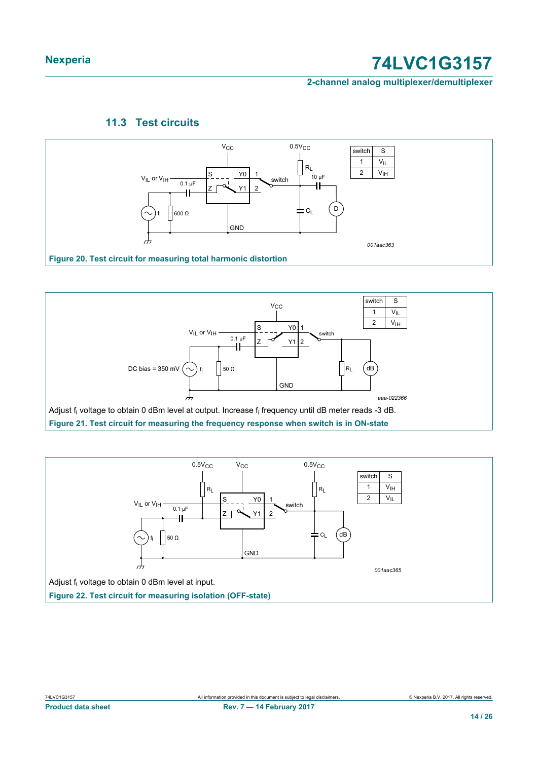**2-channel analog multiplexer/demultiplexer**

#### <span id="page-13-3"></span>**11.3 Test circuits**

<span id="page-13-0"></span>

<span id="page-13-1"></span>

<span id="page-13-2"></span>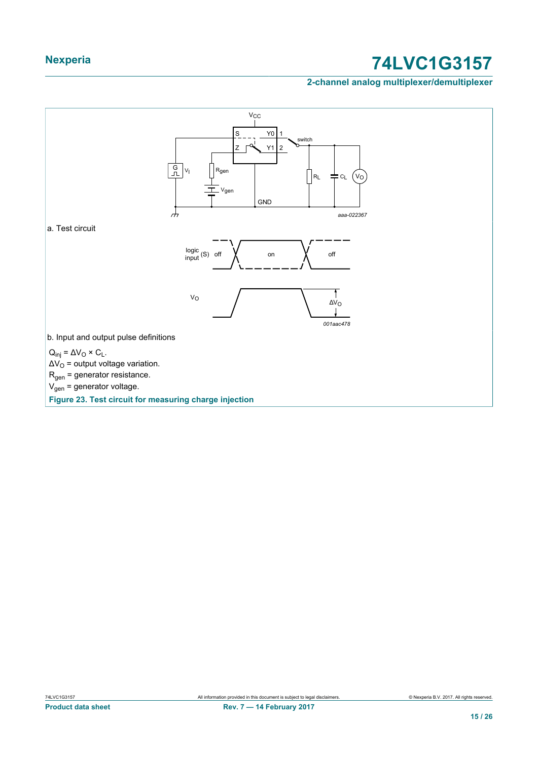<span id="page-14-0"></span>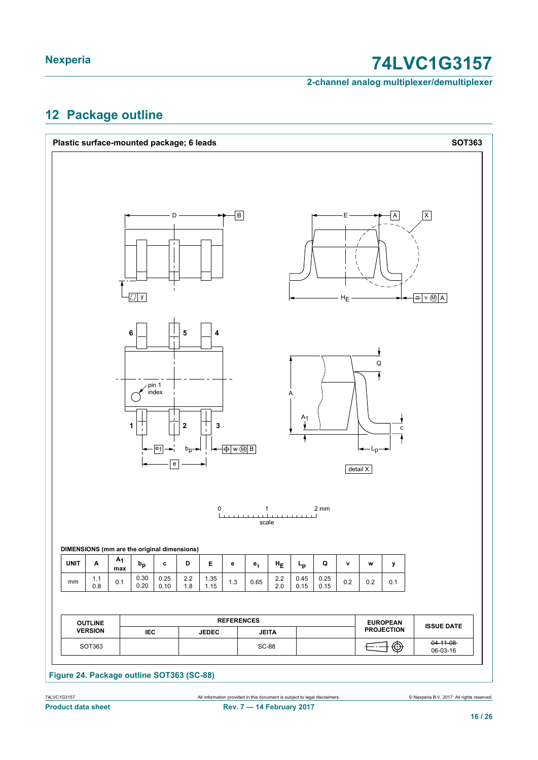**2-channel analog multiplexer/demultiplexer**

### <span id="page-15-0"></span>**12 Package outline**

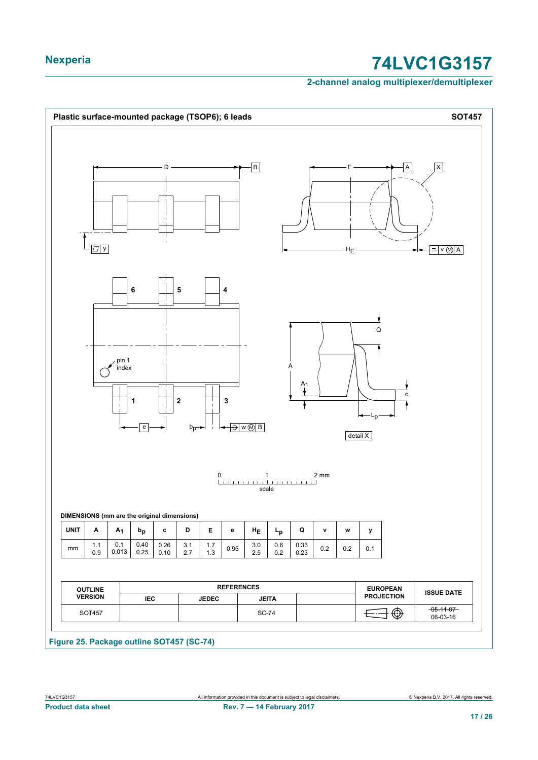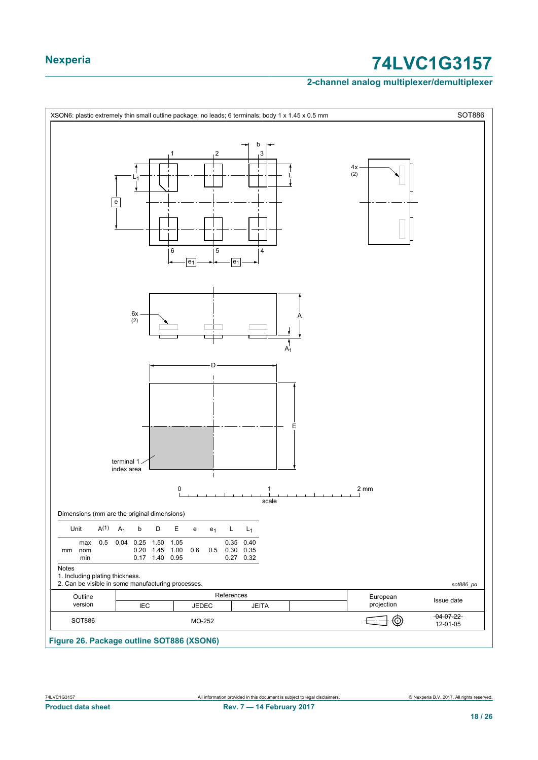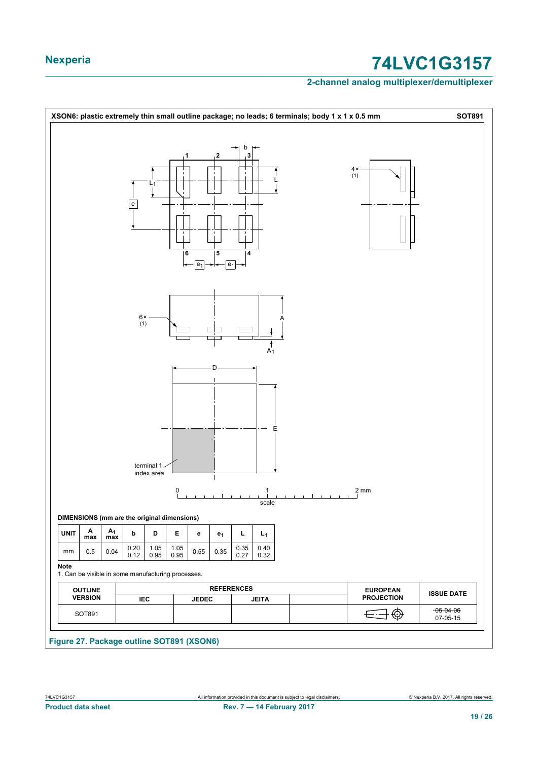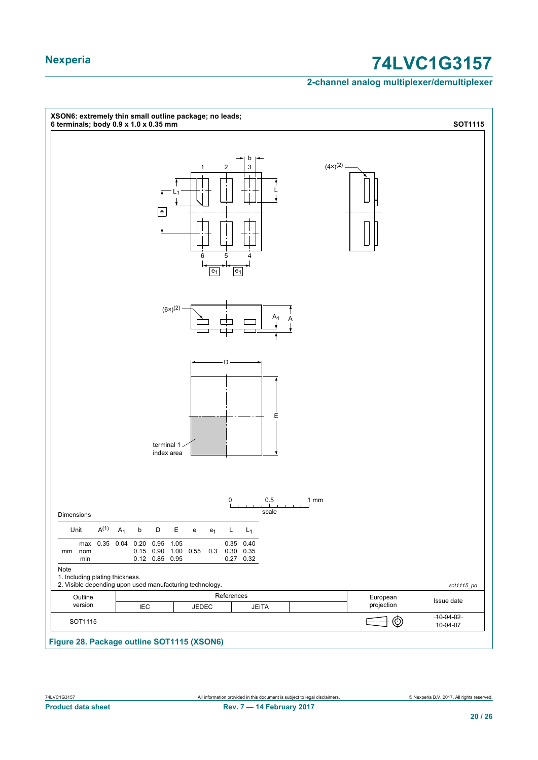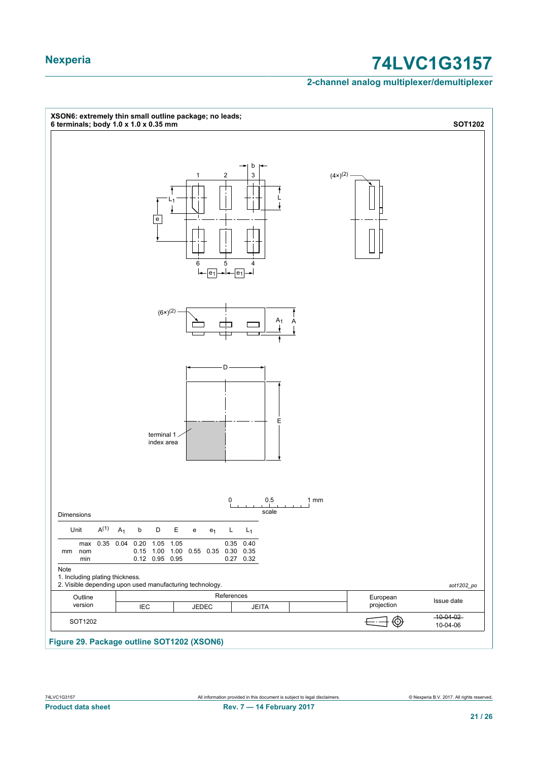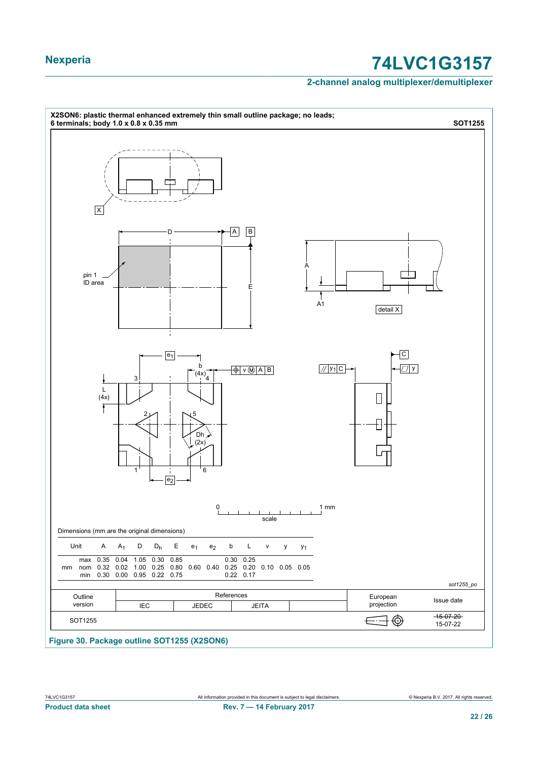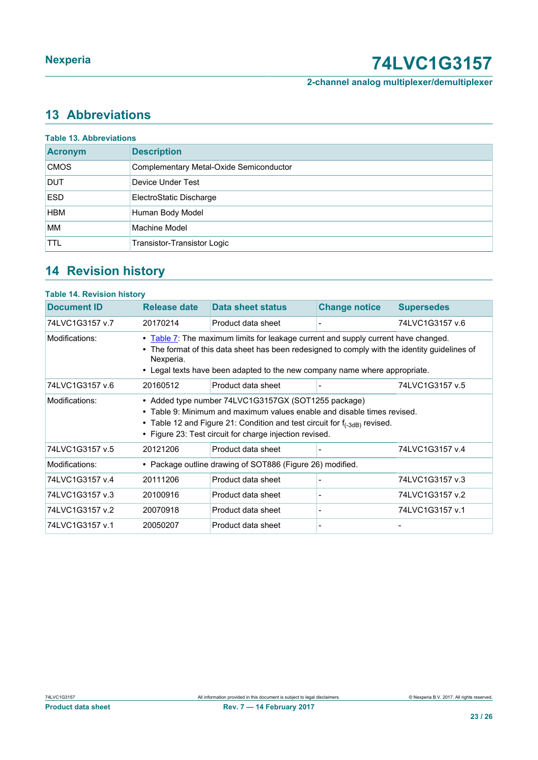**2-channel analog multiplexer/demultiplexer**

### <span id="page-22-0"></span>**13 Abbreviations**

| <b>Table 13. Abbreviations</b> |                                         |
|--------------------------------|-----------------------------------------|
| <b>Acronym</b>                 | <b>Description</b>                      |
| <b>CMOS</b>                    | Complementary Metal-Oxide Semiconductor |
| <b>DUT</b>                     | Device Under Test                       |
| <b>ESD</b>                     | ElectroStatic Discharge                 |
| <b>HBM</b>                     | Human Body Model                        |
| <b>MM</b>                      | Machine Model                           |
| <b>TTL</b>                     | Transistor-Transistor Logic             |

#### <span id="page-22-1"></span>**14 Revision history**

#### **Table 14. Revision history**

| <b>Document ID</b> | <b>Release date</b>                                                                                                                                                                                                                                                            | Data sheet status                                         | <b>Change notice</b> | <b>Supersedes</b> |  |
|--------------------|--------------------------------------------------------------------------------------------------------------------------------------------------------------------------------------------------------------------------------------------------------------------------------|-----------------------------------------------------------|----------------------|-------------------|--|
| 74LVC1G3157 v.7    | 20170214                                                                                                                                                                                                                                                                       | Product data sheet                                        |                      | 74LVC1G3157 v.6   |  |
| Modifications:     | . Table 7: The maximum limits for leakage current and supply current have changed.<br>• The format of this data sheet has been redesigned to comply with the identity guidelines of<br>Nexperia.<br>• Legal texts have been adapted to the new company name where appropriate. |                                                           |                      |                   |  |
| 74LVC1G3157 v.6    | 20160512                                                                                                                                                                                                                                                                       | Product data sheet                                        |                      | 74LVC1G3157 v.5   |  |
| Modifications:     | • Added type number 74LVC1G3157GX (SOT1255 package)<br>• Table 9: Minimum and maximum values enable and disable times revised.<br>• Table 12 and Figure 21: Condition and test circuit for $f_{(-3dB)}$ revised.<br>• Figure 23: Test circuit for charge injection revised.    |                                                           |                      |                   |  |
| 74LVC1G3157 v.5    | 20121206                                                                                                                                                                                                                                                                       | Product data sheet                                        |                      | 74LVC1G3157 v.4   |  |
| Modifications:     |                                                                                                                                                                                                                                                                                | • Package outline drawing of SOT886 (Figure 26) modified. |                      |                   |  |
| 74LVC1G3157 v.4    | 20111206                                                                                                                                                                                                                                                                       | Product data sheet                                        |                      | 74LVC1G3157 v.3   |  |
| 74LVC1G3157 v.3    | 20100916                                                                                                                                                                                                                                                                       | Product data sheet                                        |                      | 74LVC1G3157 v.2   |  |
| 74LVC1G3157 v.2    | 20070918                                                                                                                                                                                                                                                                       | Product data sheet                                        |                      | 74LVC1G3157 v.1   |  |
| 74LVC1G3157 v.1    | 20050207                                                                                                                                                                                                                                                                       | Product data sheet                                        |                      |                   |  |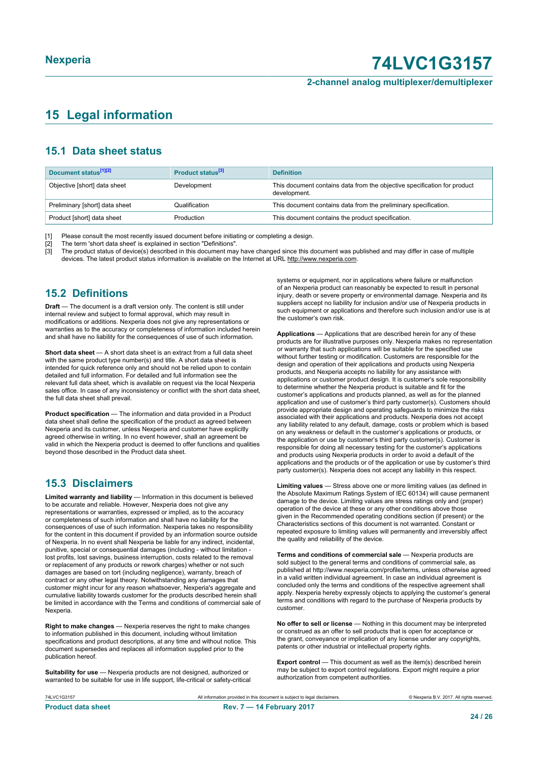#### **2-channel analog multiplexer/demultiplexer**

### <span id="page-23-0"></span>**15 Legal information**

#### **15.1 Data sheet status**

| Document status <sup>[1][2]</sup> | Product status <sup>[3]</sup> | <b>Definition</b>                                                                        |
|-----------------------------------|-------------------------------|------------------------------------------------------------------------------------------|
| Objective [short] data sheet      | Development                   | This document contains data from the objective specification for product<br>development. |
| Preliminary [short] data sheet    | Qualification                 | This document contains data from the preliminary specification.                          |
| Product [short] data sheet        | Production                    | This document contains the product specification.                                        |

[1] Please consult the most recently issued document before initiating or completing a design.

[2] The term 'short data sheet' is explained in section "Definitions".<br>[3] The product status of device(s) described in this document may [3] The product status of device(s) described in this document may have changed since this document was published and may differ in case of multiple devices. The latest product status information is available on the Internet at URL http://www.nexperia.com.

#### **15.2 Definitions**

**Draft** — The document is a draft version only. The content is still under internal review and subject to formal approval, which may result in modifications or additions. Nexperia does not give any representations or warranties as to the accuracy or completeness of information included herein and shall have no liability for the consequences of use of such information.

**Short data sheet** — A short data sheet is an extract from a full data sheet with the same product type number(s) and title. A short data sheet is intended for quick reference only and should not be relied upon to contain detailed and full information. For detailed and full information see the relevant full data sheet, which is available on request via the local Nexperia sales office. In case of any inconsistency or conflict with the short data sheet, the full data sheet shall prevail.

**Product specification** — The information and data provided in a Product data sheet shall define the specification of the product as agreed between Nexperia and its customer, unless Nexperia and customer have explicitly agreed otherwise in writing. In no event however, shall an agreement be valid in which the Nexperia product is deemed to offer functions and qualities beyond those described in the Product data sheet.

#### **15.3 Disclaimers**

**Limited warranty and liability** — Information in this document is believed to be accurate and reliable. However, Nexperia does not give any representations or warranties, expressed or implied, as to the accuracy or completeness of such information and shall have no liability for the consequences of use of such information. Nexperia takes no responsibility for the content in this document if provided by an information source outside of Nexperia. In no event shall Nexperia be liable for any indirect, incidental, punitive, special or consequential damages (including - without limitation lost profits, lost savings, business interruption, costs related to the removal or replacement of any products or rework charges) whether or not such damages are based on tort (including negligence), warranty, breach of contract or any other legal theory. Notwithstanding any damages that customer might incur for any reason whatsoever, Nexperia's aggregate and cumulative liability towards customer for the products described herein shall be limited in accordance with the Terms and conditions of commercial sale of Nexperia.

**Right to make changes** — Nexperia reserves the right to make changes to information published in this document, including without limitation specifications and product descriptions, at any time and without notice. This document supersedes and replaces all information supplied prior to the publication hereof.

**Suitability for use** — Nexperia products are not designed, authorized or warranted to be suitable for use in life support, life-critical or safety-critical systems or equipment, nor in applications where failure or malfunction of an Nexperia product can reasonably be expected to result in personal injury, death or severe property or environmental damage. Nexperia and its suppliers accept no liability for inclusion and/or use of Nexperia products in such equipment or applications and therefore such inclusion and/or use is at the customer's own risk.

**Applications** — Applications that are described herein for any of these products are for illustrative purposes only. Nexperia makes no representation or warranty that such applications will be suitable for the specified use without further testing or modification. Customers are responsible for the design and operation of their applications and products using Nexperia products, and Nexperia accepts no liability for any assistance with applications or customer product design. It is customer's sole responsibility to determine whether the Nexperia product is suitable and fit for the customer's applications and products planned, as well as for the planned application and use of customer's third party customer(s). Customers should provide appropriate design and operating safeguards to minimize the risks associated with their applications and products. Nexperia does not accept any liability related to any default, damage, costs or problem which is based on any weakness or default in the customer's applications or products, or the application or use by customer's third party customer(s). Customer is responsible for doing all necessary testing for the customer's applications and products using Nexperia products in order to avoid a default of the applications and the products or of the application or use by customer's third party customer(s). Nexperia does not accept any liability in this respect.

**Limiting values** — Stress above one or more limiting values (as defined in the Absolute Maximum Ratings System of IEC 60134) will cause permanent damage to the device. Limiting values are stress ratings only and (proper) operation of the device at these or any other conditions above those given in the Recommended operating conditions section (if present) or the Characteristics sections of this document is not warranted. Constant or repeated exposure to limiting values will permanently and irreversibly affect the quality and reliability of the device.

**Terms and conditions of commercial sale** — Nexperia products are sold subject to the general terms and conditions of commercial sale, as published at http://www.nexperia.com/profile/terms, unless otherwise agreed in a valid written individual agreement. In case an individual agreement is concluded only the terms and conditions of the respective agreement shall apply. Nexperia hereby expressly objects to applying the customer's general terms and conditions with regard to the purchase of Nexperia products by customer.

**No offer to sell or license** — Nothing in this document may be interpreted or construed as an offer to sell products that is open for acceptance or the grant, conveyance or implication of any license under any copyrights, patents or other industrial or intellectual property rights.

**Export control** — This document as well as the item(s) described herein may be subject to export control regulations. Export might require a prior authorization from competent authorities.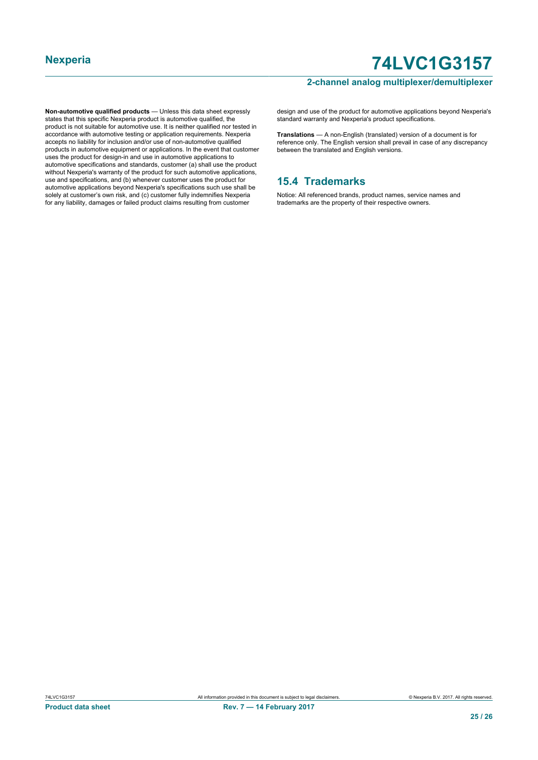#### **2-channel analog multiplexer/demultiplexer**

**Non-automotive qualified products** — Unless this data sheet expressly states that this specific Nexperia product is automotive qualified, the product is not suitable for automotive use. It is neither qualified nor tested in accordance with automotive testing or application requirements. Nexperia accepts no liability for inclusion and/or use of non-automotive qualified products in automotive equipment or applications. In the event that customer uses the product for design-in and use in automotive applications to automotive specifications and standards, customer (a) shall use the product without Nexperia's warranty of the product for such automotive applications, use and specifications, and (b) whenever customer uses the product for automotive applications beyond Nexperia's specifications such use shall be solely at customer's own risk, and (c) customer fully indemnifies Nexperia for any liability, damages or failed product claims resulting from customer

design and use of the product for automotive applications beyond Nexperia's standard warranty and Nexperia's product specifications.

**Translations** — A non-English (translated) version of a document is for reference only. The English version shall prevail in case of any discrepancy between the translated and English versions.

#### **15.4 Trademarks**

Notice: All referenced brands, product names, service names and trademarks are the property of their respective owners.